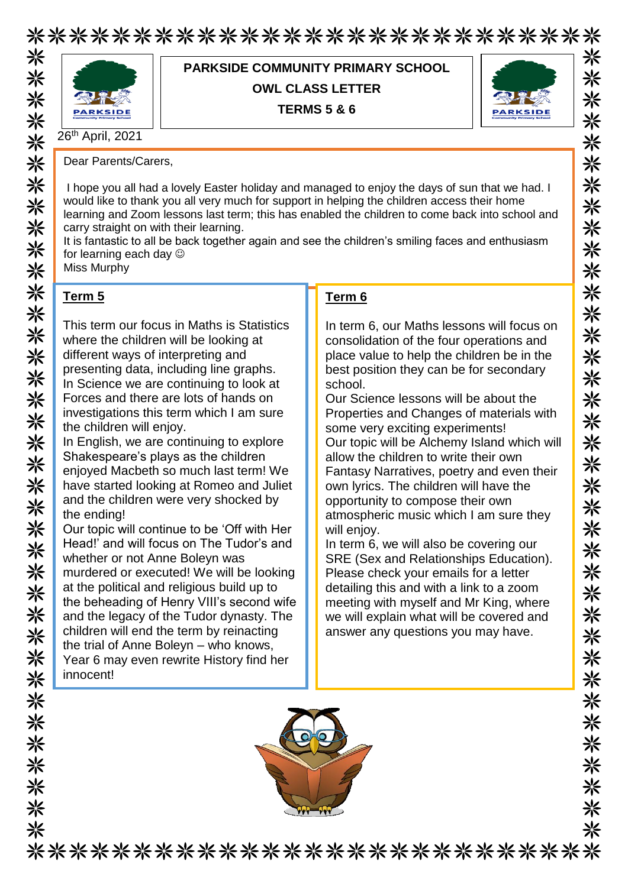\*\*\*\*\*\*\*\*\*\*\*\*\*\*\*\*\*\*\*\*\*\*\*\*\*\*\* 米米米米米米米米米米米米米米米



**PARKSIDE COMMUNITY PRIMARY SCHOOL OWL CLASS LETTER**

**TERMS 5 & 6**



米 米

米

米

米

☀

米 米

米

米

米

米 米

米

米

米

米 米

米

☀

米

☀

米 米

米

米

米

米

☀ ※

※

米

米

⋇

米

⋇

26<sup>th</sup> April, 2021

Dear Parents/Carers,

I hope you all had a lovely Easter holiday and managed to enjoy the days of sun that we had. I would like to thank you all very much for support in helping the children access their home learning and Zoom lessons last term; this has enabled the children to come back into school and carry straight on with their learning.

It is fantastic to all be back together again and see the children's smiling faces and enthusiasm for learning each day

Miss Murphy

## **Term 5**

米米米米米米米

米米米米米

※

关举条条

\*\*\*\*\*\*\*\*

This term our focus in Maths is Statistics where the children will be looking at different ways of interpreting and presenting data, including line graphs. In Science we are continuing to look at Forces and there are lots of hands on investigations this term which I am sure the children will enjoy.

In English, we are continuing to explore Shakespeare's plays as the children enjoyed Macbeth so much last term! We have started looking at Romeo and Juliet and the children were very shocked by the ending!

Our topic will continue to be 'Off with Her Head!' and will focus on The Tudor's and whether or not Anne Boleyn was murdered or executed! We will be looking at the political and religious build up to the beheading of Henry VIII's second wife and the legacy of the Tudor dynasty. The children will end the term by reinacting the trial of Anne Boleyn – who knows, Year 6 may even rewrite History find her innocent!

#### **Term 6**

In term 6, our Maths lessons will focus on consolidation of the four operations and place value to help the children be in the best position they can be for secondary school.

Our Science lessons will be about the Properties and Changes of materials with some very exciting experiments! Our topic will be Alchemy Island which will allow the children to write their own Fantasy Narratives, poetry and even their own lyrics. The children will have the opportunity to compose their own atmospheric music which I am sure they will enjoy.

In term 6, we will also be covering our SRE (Sex and Relationships Education). Please check your emails for a letter detailing this and with a link to a zoom meeting with myself and Mr King, where we will explain what will be covered and answer any questions you may have.



\*\*\*\*\*\*\*\*\*\*\*\*\*\*\*\*\*\*\*\*\*\*\*\*\*\*\*